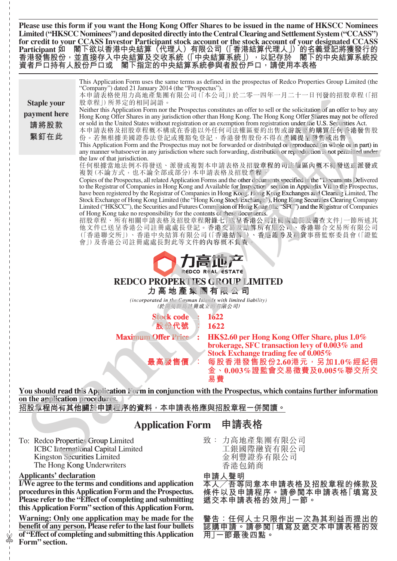

| <b>Staple your</b><br>payment here<br>請將股款<br>緊釘在此                                                                                                                                                                                                              | This Application Form uses the same terms as defined in the prospectus of Redco Properties Group Limited (the<br>"Company") dated 21 January 2014 (the "Prospectus").<br>本申請表格使用力高地產集團有限公司(「本公司」)於二零一四年一月二十一日刊發的招股章程(「招<br>股章程」)所界定的相同詞語。<br>Neither this Application Form nor the Prospectus constitutes an offer to sell or the solicitation of an offer to buy any<br>Hong Kong Offer Shares in any jurisdiction other than Hong Kong. The Hong Kong Offer Shares may not be offered<br>or sold in the United States without registration or an exemption from registration under the U.S. Securities Act.<br>本申請表格及招股章程概不構成在香港以外任何司法權區要約出售或游說要約購買任何香港發售股<br>份。若無根據美國證券法登記或獲豁免登記,香港發售股份不得在美國提呈發售或出售<br>This Application Form and the Prospectus may not be forwarded or distributed or reproduced (in whole or in part) in<br>any manner whatsoever in any jurisdiction where such forwarding, distribution or reproduction is not permitted under                      |  |  |  |
|-----------------------------------------------------------------------------------------------------------------------------------------------------------------------------------------------------------------------------------------------------------------|----------------------------------------------------------------------------------------------------------------------------------------------------------------------------------------------------------------------------------------------------------------------------------------------------------------------------------------------------------------------------------------------------------------------------------------------------------------------------------------------------------------------------------------------------------------------------------------------------------------------------------------------------------------------------------------------------------------------------------------------------------------------------------------------------------------------------------------------------------------------------------------------------------------------------------------------------------------------------|--|--|--|
|                                                                                                                                                                                                                                                                 | the law of that jurisdiction.<br>任何根據當地法例不得發送、派發或複製本申請表格及招股章程的司法權區內概不得發送或派發或<br>複製(不論方式,也不論全部或部分)本申請表格及招股章程<br>Copies of the Prospectus, all related Application Forms and the other documents specified in the "Documents Delivered<br>to the Registrar of Companies in Hong Kong and Available for Inspection" section in Appendix VII to the Prospectus,<br>have been registered by the Registrar of Companies in Hong Kong. Hong Kong Exchanges and Clearing Limited, The<br>Stock Exchange of Hong Kong Limited (the "Hong Kong Stock Exchange"), Hong Kong Securities Clearing Company<br>Limited ("HKSCC"), the Securities and Futures Commission of Hong Kong (the "SFC") and the Registrar of Companies<br>of Hong Kong take no responsibility for the contents of these documents.<br>招股章程、所有相關申請表格及招股章程附錄七「送呈香港公司註冊處處長及備查文件」一節所述其<br>他文件已送呈香港公司註冊處處長登記。香港交易及結算所有限公司、香港聯合交易所有限公司<br>(「香港聯交所」)、香港中央結算有限公司(「香港結算」)、香港證券及期貨事務監察委員會(「證監<br>會」)及香港公司註冊處處長對此等文件的內容概不負責 |  |  |  |
| 刀高地产<br>REDCO REAL ESTATE<br><b>REDCO PROPERTIES GROUP LIMITED</b><br>力高地產集團有限公司<br>(incorporated in the Cayman Islands with limited liability)<br>(於開曼群島註冊成立的有限公司)<br><b>Stock code</b><br>1622                                                                |                                                                                                                                                                                                                                                                                                                                                                                                                                                                                                                                                                                                                                                                                                                                                                                                                                                                                                                                                                            |  |  |  |
| 股份代號<br>1622<br><b>Maximum Offer Price</b> :<br>HK\$2.60 per Hong Kong Offer Share, plus 1.0%<br>brokerage, SFC transaction levy of 0.003% and<br>Stock Exchange trading fee of 0.005%<br>每股香港發售股份2.60港元,另加1.0%經紀佣<br>最高發售價<br>金、0.003%證監會交易徵費及0.005%聯交所交<br>易費 |                                                                                                                                                                                                                                                                                                                                                                                                                                                                                                                                                                                                                                                                                                                                                                                                                                                                                                                                                                            |  |  |  |
| You should read this Application Form in conjunction with the Prospectus, which contains further information<br>on the application procedures.                                                                                                                  |                                                                                                                                                                                                                                                                                                                                                                                                                                                                                                                                                                                                                                                                                                                                                                                                                                                                                                                                                                            |  |  |  |
| 招股章程尚有其他關於申請程序的資料,本申請表格應與招股章程一併閲讀。<br>Application Form 申請表格                                                                                                                                                                                                     |                                                                                                                                                                                                                                                                                                                                                                                                                                                                                                                                                                                                                                                                                                                                                                                                                                                                                                                                                                            |  |  |  |
|                                                                                                                                                                                                                                                                 | 致: 力高地產集團有限公司<br>To: Redco Properties Group Limited<br>工銀國際融資有限公司<br><b>ICBC</b> International Capital Limited<br>金利豐證券有限公司<br>Kingston Securities Limited                                                                                                                                                                                                                                                                                                                                                                                                                                                                                                                                                                                                                                                                                                                                                                                                                 |  |  |  |

To: Redco Properties Group Limited ICBC International Capital Limited Kingston Securities Limited The Hong Kong Underwriters Un

#### **Applicants' declaration**

**I/We agree to the terms and conditions and application procedures in this Application Form and the Prospectus. Please refer to the "Effect of completing and submitting this Application Form" section of this Application Form.**

**Warning: Only one application may be made for the benefit of any person. Please refer to the last four bullets of "Effect of completing and submitting this Application** Form" section.

致: 力高地產集團有限公司 工銀國際融資有限公司 金利豐證券有限公司 香港包銷商

**申請人聲明**

**本人╱吾等同意本申請表格及招股章程的條款及 條件以及申請程序。請參閱本申請表格「填寫及 遞交本申請表格的效用」一節。**

**警告:任何人士只限作出一次為其利益而提出的 認購申請。請參閱「填寫及遞交本申請表格的效 用」一節最後四點。**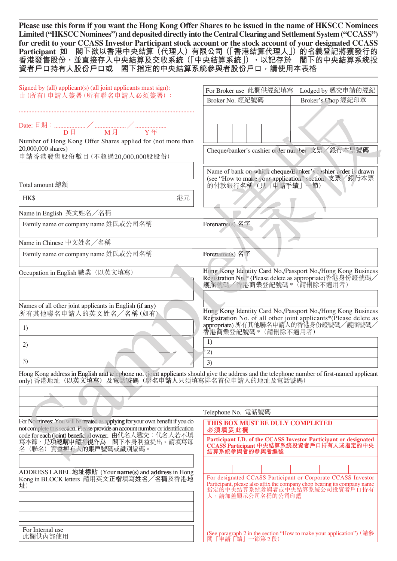**Please use this form if you want the Hong Kong Offer Shares to be issued in the name of HKSCC Nominees Limited ("HKSCC Nominees") and deposited directly into the Central Clearing and Settlement System ("CCASS") for credit to your CCASS Investor Participant stock account or the stock account of your designated CCASS Participant 如 閣下欲以香港中央結算(代理人)有限公司(「香港結算代理人」)的名義登記將獲發行的 香港發售股份,並直接存入中央結算及交收系統(「中央結算系統」),以記存於 閣下的中央結算系統投 資者戶口持有人股份戶口或 閣下指定的中央結算系統參與者股份戶口,請使用本表格**

| Signed by (all) applicant(s) (all joint applicants must sign):                                                                                                                                                                                                                   | For Broker use 此欄供經紀填寫<br>Lodged by 遞交申請的經紀                                                                                                                                                              |
|----------------------------------------------------------------------------------------------------------------------------------------------------------------------------------------------------------------------------------------------------------------------------------|----------------------------------------------------------------------------------------------------------------------------------------------------------------------------------------------------------|
| 由(所有)申請人簽署(所有聯名申請人必須簽署):                                                                                                                                                                                                                                                         | Broker No. 經紀號碼<br>Broker's Chop 經紀印章                                                                                                                                                                    |
| Number of Hong Kong Offer Shares applied for (not more than<br>20,000,000 shares)<br>申請香港發售股份數目 (不超過20,000,000股股份)                                                                                                                                                               | Cheque/banker's cashier order number 文票/銀行本票號碼                                                                                                                                                           |
|                                                                                                                                                                                                                                                                                  | Name of bank on which cheque/Banker's cashier order is drawn                                                                                                                                             |
| Total amount 總額                                                                                                                                                                                                                                                                  | (see "How to make your application" section) 支票/銀行本票<br>的付款銀行名稱 (見 「申請手續」一節)                                                                                                                             |
| 港元<br>HK\$                                                                                                                                                                                                                                                                       |                                                                                                                                                                                                          |
| Name in English 英文姓名/名稱                                                                                                                                                                                                                                                          |                                                                                                                                                                                                          |
| Family name or company name 姓氏或公司名稱                                                                                                                                                                                                                                              | Forename(s) 名字                                                                                                                                                                                           |
| Name in Chinese 中文姓名/名稱                                                                                                                                                                                                                                                          |                                                                                                                                                                                                          |
| Family name or company name 姓氏或公司名稱                                                                                                                                                                                                                                              | Forename(s) 名字                                                                                                                                                                                           |
| Occupation in English 職業 (以英文填寫)                                                                                                                                                                                                                                                 | Hong Kong Identity Card No./Passport No./Hong Kong Business<br>Registration No.* (Please delete as appropriate) 香港身份證號碼<br>護照號碼/香港商業登記號碼 * (請刪除不適用者)                                                     |
| Names of all other joint applicants in English (if any)<br>所有其他聯名申請人的英文姓名/名稱(如有)<br>1)<br>2)<br>3)                                                                                                                                                                               | Hong Kong Identity Card No./Passport No./Hong Kong Business<br>Registration No. of all other joint applicants*(Please delete as appropriate) 所有其他聯名申請人的香港身份證號碼/護照號碼/<br>香港商業登記號碼 * (請刪除不適用者)<br>1)<br>2) |
| only) 香港地址(以英文填寫)及電話號碼(聯名申請人只須填寫排名首位申請人的地址及電話號碼)                                                                                                                                                                                                                                 | 3)<br>Hong Kong address in English and telephone no. (joint applicants should give the address and the telephone number of first-named applicant                                                         |
|                                                                                                                                                                                                                                                                                  |                                                                                                                                                                                                          |
|                                                                                                                                                                                                                                                                                  | Telephone No. 電話號碼                                                                                                                                                                                       |
| For Norminees: You will be treated as applying for your own benefit if you do<br>not complete this section. Please provide an account number or identification<br>code for each (joint) beneficial owner. 由代名人遞交:代名人若不填<br>寫本節,是項認購申請將視作為 閣下本身利益提出。請填寫每<br>名(聯名)實益擁有人的賬戶號碼或識別編碼。 | <b>THIS BOX MUST BE DULY COMPLETED</b><br>必須填妥此欄<br>Participant I.D. of the CCASS Investor Participant or designated<br>CCASS Participant 中央結算系統投資者戶口持有人或指定的中央<br>結算系統參與者的參與者編號                          |
| ADDRESS LABEL 地址標貼 (Your name(s) and address in Hong<br>Kong in BLOCK letters 請用英文正楷填寫姓名/名稱及香港地<br>址)                                                                                                                                                                            | For designated CCASS Participant or Corporate CCASS Investor<br>Participant, please also affix the company chop bearing its company name<br>指定的中央結算系統參與者或中央結算系統公司投資者戶口持有<br>人,請加蓋顯示公司名稱的公司印鑑             |
| For Internal use<br>此欄供內部使用                                                                                                                                                                                                                                                      | (See paragraph 2 in the section "How to make your application") (請參<br>閲「申請手續」一節第2段)                                                                                                                     |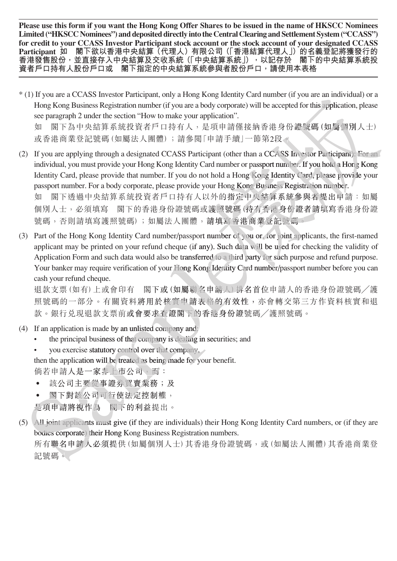**Please use this form if you want the Hong Kong Offer Shares to be issued in the name of HKSCC Nominees Limited ("HKSCC Nominees") and deposited directly into the Central Clearing and Settlement System ("CCASS") for credit to your CCASS Investor Participant stock account or the stock account of your designated CCASS Participant 如 閣下欲以香港中央結算(代理人)有限公司(「香港結算代理人」) 的名義登記將獲發行的<br>香港發售股份<sup>,</sup>並直接存入中央結算及交收系統(「中央結算系統」) ,以記存於 閣下的中央結算系統投** 香港發售股份,並直接存入中央結算及交收系統(「中央結算系統」),以記存於 **資者戶口持有人股份戶口或 閣下指定的中央結算系統參與者股份戶口,請使用本表格**

- \* (1) If you are a CCASS Investor Participant, only a Hong Kong Identity Card number (if you are an individual) or a Hong Kong Business Registration number (if you are a body corporate) will be accepted for this application, please see paragraph 2 under the section "How to make your application". 如 閣下為中央結算系統投資者戶口持有人,是項申請僅接納香港身份證號碼(如屬個別人士) 或香港商業登記號碼(如屬法人團體);請參閱「申請手續」一節第2段。
- (2) If you are applying through a designated CCASS Participant (other than a CCASS Investor Participant): For an individual, you must provide your Hong Kong Identity Card number or passport number. If you hold a Hong Kong Identity Card, please provide that number. If you do not hold a Hong Kong Identity Card, please provide your passport number. For a body corporate, please provide your Hong Kong Business Registration number. 如 閣下透過中央結算系統投資者戶口持有人以外的指定中央結算系統參與者提出申請:如屬 個別人士,必須填寫 閣下的香港身份證號碼或護照號碼(持有香港身份證者請填寫香港身份證 Kong dentity Card number (if you are an individual) of a<br>body corporate) will be accepted for this application, please<br>pplication".<br>是項申請僅接納香港身份證號碼 (如屬個別人士)<br>[申請手續]一節第2段<br>cipant (other than a CCASS Investor Participant): Fo

號碼,否則請填寫護照號碼);如屬法人團體,請填寫香港商業登記號碼。

(3) Part of the Hong Kong Identity Card number/passport number of you or, for joint applicants, the first-named applicant may be printed on your refund cheque (if any). Such data will be used for checking the validity of Application Form and such data would also be transferred to a third party for such purpose and refund purpose. Your banker may require verification of your Hong Kong Identity Card number/passport number before you can cash your refund cheque. ) Part of the Hong Kong Identity Card number/passport number of you<br>
applicant may be printed on your refund cheque (if any). Such data<br>
Application Form and such data would also be transferred to a third par<br>
Your banke

退款支票 (如有) 上或會印有 | 閣下或 (如屬聯名申請人) 排名首位申請人的香港身份證號碼/護 照號碼的一部分。有關資料將用於核實申請表格的有效性,亦會轉交第三方作資料核實和退 款。銀行兑現退款支票前或會要求查證閣下的香港身份證號碼/護照號碼。

- (4) If an application is made by an unlisted company and:
	- If an application is made by an unlisted company and:<br>
	 the principal business of that company is dealing in securities; and
	- you exercise statutory control over that company, e

then the application will be treated as being made for your benefit.

倘若申請人是一家非上市公司,而:

- 該公司主要從事證券買賣業務;及
- 閣下對該公司可行使法定控制權,

是項申請將視作為 閣下的利益提出。

(5) All joint applicants must give (if they are individuals) their Hong Kong Identity Card numbers, or (if they are ) must bodies corporate) their Hong Kong Business Registration numbers. 所有聯名申請人必須提供(如屬個別人士)其香港身份證號碼,或(如屬法人團體)其香港商業登 記號碼。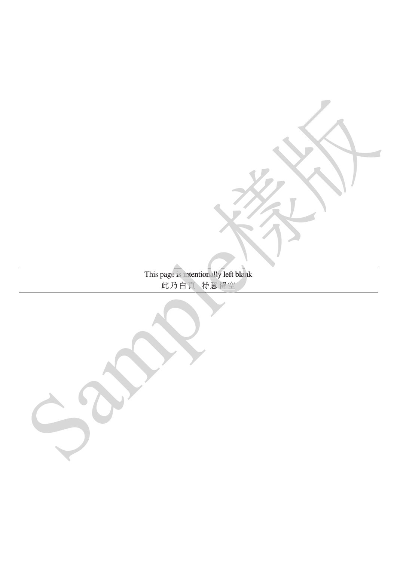This page is intentionally left blank This page is Intentionally left blank<br>此乃白頁 特意留空<br>-樣版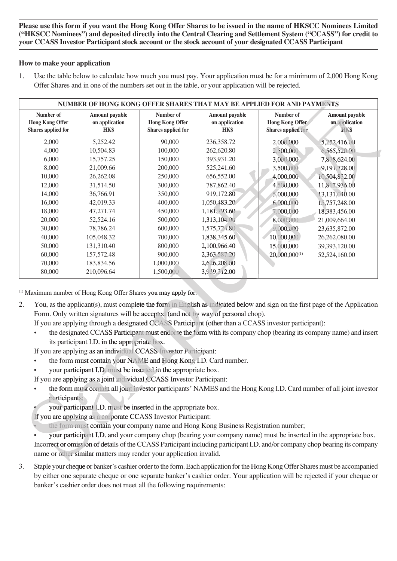**Please use this form if you want the Hong Kong Offer Shares to be issued in the name of HKSCC Nominees Limited ("HKSCC Nominees") and deposited directly into the Central Clearing and Settlement System ("CCASS") for credit to your CCASS Investor Participant stock account or the stock account of your designated CCASS Participant**

### **How to make your application**

1. Use the table below to calculate how much you must pay. Your application must be for a minimum of 2,000 Hong Kong Offer Shares and in one of the numbers set out in the table, or your application will be rejected.

|                                                                                                                                                                                                                                                                                                                                                                                                                |                                                                    |                                                           | NUMBER OF HONG KONG OFFER SHARES THAT MAY BE APPLIED FOR AND PAYMENTS |                                                           |                                          |
|----------------------------------------------------------------------------------------------------------------------------------------------------------------------------------------------------------------------------------------------------------------------------------------------------------------------------------------------------------------------------------------------------------------|--------------------------------------------------------------------|-----------------------------------------------------------|-----------------------------------------------------------------------|-----------------------------------------------------------|------------------------------------------|
| Number of<br><b>Hong Kong Offer</b><br>Shares applied for                                                                                                                                                                                                                                                                                                                                                      | Amount payable<br>on application<br>HK\$                           | Number of<br><b>Hong Kong Offer</b><br>Shares applied for | Amount payable<br>on application<br>HK\$                              | Number of<br><b>Hong Kong Offer</b><br>Shares applied for | Amount payable<br>on application<br>HK\$ |
| 2,000                                                                                                                                                                                                                                                                                                                                                                                                          | 5,252.42                                                           | 90,000                                                    | 236,358.72                                                            | 2,000,000                                                 | 5,252,416.00                             |
| 4,000                                                                                                                                                                                                                                                                                                                                                                                                          | 10,504.83                                                          | 100,000                                                   | 262,620.80                                                            | 2,500,000                                                 | 6,565,520.00                             |
| 6,000                                                                                                                                                                                                                                                                                                                                                                                                          | 15,757.25                                                          | 150,000                                                   | 393,931.20                                                            | 3,000,000                                                 | 7,878,624.00                             |
| 8,000                                                                                                                                                                                                                                                                                                                                                                                                          | 21,009.66                                                          | 200,000                                                   | 525,241.60                                                            | 3,500,000                                                 | 9, 191, 728.00                           |
| 10,000                                                                                                                                                                                                                                                                                                                                                                                                         | 26,262.08                                                          | 250,000                                                   | 656,552.00                                                            | 4,000,000                                                 | 10,504,832.00                            |
| 12,000                                                                                                                                                                                                                                                                                                                                                                                                         | 31,514.50                                                          | 300,000                                                   | 787,862.40                                                            | 4,500,000                                                 | 11,817,936.00                            |
| 14,000                                                                                                                                                                                                                                                                                                                                                                                                         | 36,766.91                                                          | 350,000                                                   | 919,172.80                                                            | 5,000,000                                                 | 13,131,040.00                            |
| 16,000                                                                                                                                                                                                                                                                                                                                                                                                         | 42,019.33                                                          | 400,000                                                   | 1,050,483.20                                                          | 6,000,000                                                 | 15,757,248.00                            |
| 18,000                                                                                                                                                                                                                                                                                                                                                                                                         | 47,271.74                                                          | 450,000                                                   | 1,181,793.60                                                          | 7,000,000                                                 | 18,383,456.00                            |
| 20,000                                                                                                                                                                                                                                                                                                                                                                                                         | 52,524.16                                                          | 500,000                                                   | 1,313,104.00                                                          | 8,000,000                                                 | 21,009,664.00                            |
| 30,000                                                                                                                                                                                                                                                                                                                                                                                                         | 78,786.24                                                          | 600,000                                                   | 1,575,724.80                                                          | 9,000,000                                                 | 23,635,872.00                            |
| 40,000                                                                                                                                                                                                                                                                                                                                                                                                         | 105,048.32                                                         | 700,000                                                   | 1,838,345.60                                                          | 10,000,000                                                | 26,262,080.00                            |
| 50,000                                                                                                                                                                                                                                                                                                                                                                                                         | 131,310.40                                                         | 800,000                                                   | 2,100,966.40                                                          | 15,000,000                                                | 39,393,120.00                            |
| 60,000                                                                                                                                                                                                                                                                                                                                                                                                         | 157,572.48                                                         | 900,000                                                   | 2,363,587.20                                                          | $20,000,000^{(1)}$                                        | 52,524,160.00                            |
| 70,000                                                                                                                                                                                                                                                                                                                                                                                                         | 183,834.56                                                         | 1,000,000                                                 | 2,626,208.00                                                          |                                                           |                                          |
| 80,000                                                                                                                                                                                                                                                                                                                                                                                                         | 210,096.64                                                         | 1,500,000                                                 | 3,939,312.00                                                          |                                                           |                                          |
| <sup>(1)</sup> Maximum number of Hong Kong Offer Shares you may apply for.<br>You, as the applicant(s), must complete the form in English as indicated below and sign on the first page of the Application<br>2.<br>Form. Only written signatures will be accepted (and not by way of personal chop).<br>If you are applying through a designated CCASS Participant (other than a CCASS investor participant): |                                                                    |                                                           |                                                                       |                                                           |                                          |
| the designated CCASS Participant must endorse the form with its company chop (bearing its company name) and insert<br>its participant I.D. in the appropriate box.                                                                                                                                                                                                                                             |                                                                    |                                                           |                                                                       |                                                           |                                          |
| If you are applying as an individual CCASS Investor Participant:                                                                                                                                                                                                                                                                                                                                               |                                                                    |                                                           |                                                                       |                                                           |                                          |
| the form must contain your NAME and Hong Kong I.D. Card number.<br>$\bullet$                                                                                                                                                                                                                                                                                                                                   |                                                                    |                                                           |                                                                       |                                                           |                                          |
| your participant I.D. must be inserted in the appropriate box.                                                                                                                                                                                                                                                                                                                                                 |                                                                    |                                                           |                                                                       |                                                           |                                          |
| If you are applying as a joint individual CCASS Investor Participant:                                                                                                                                                                                                                                                                                                                                          |                                                                    |                                                           |                                                                       |                                                           |                                          |
| the form must contain all joint investor participants' NAMES and the Hong Kong I.D. Card number of all joint investor<br>$\bullet$<br>participants;                                                                                                                                                                                                                                                            |                                                                    |                                                           |                                                                       |                                                           |                                          |
| your participant I.D. must be inserted in the appropriate box.                                                                                                                                                                                                                                                                                                                                                 |                                                                    |                                                           |                                                                       |                                                           |                                          |
| If you are applying as a corporate CCASS Investor Participant:                                                                                                                                                                                                                                                                                                                                                 |                                                                    |                                                           |                                                                       |                                                           |                                          |
| the form must contain your company name and Hong Kong Business Registration number;                                                                                                                                                                                                                                                                                                                            |                                                                    |                                                           |                                                                       |                                                           |                                          |
| your participant I.D. and your company chop (bearing your company name) must be inserted in the appropriate box.                                                                                                                                                                                                                                                                                               |                                                                    |                                                           |                                                                       |                                                           |                                          |
| Incorrect or omission of details of the CCASS Participant including participant I.D. and/or company chop bearing its company                                                                                                                                                                                                                                                                                   |                                                                    |                                                           |                                                                       |                                                           |                                          |
|                                                                                                                                                                                                                                                                                                                                                                                                                | name or other similar matters may render your application invalid. |                                                           |                                                                       |                                                           |                                          |
|                                                                                                                                                                                                                                                                                                                                                                                                                |                                                                    |                                                           |                                                                       |                                                           |                                          |

- 2. You, as the applicant(s), must complete the form in English as indicated below and sign on the first page of the Application Form. Only written signatures will be accepted (and not by way of personal chop).
	- If you are applying through a designated CCASS Participant (other than a CCASS investor participant):
	- the designated CCASS Participant must endorse the form with its company chop (bearing its company name) and insert its participant I.D. in the appropriate box.

- the form must contain your NAME and Hong Kong I.D. Card number.
- your participant I.D. must be inserted in the appropriate box.

- the form must contain all joint investor participants' NAMES and the Hong Kong I.D. Card number of all joint investor participants;
- your participant I.D. must be inserted in the appropriate box.
- If you are applying as a corporate CCASS Investor Participant:
- the form must contain your company name and Hong Kong Business Registration number;

3. Staple your cheque or banker's cashier order to the form. Each application for the Hong Kong Offer Shares must be accompanied by either one separate cheque or one separate banker's cashier order. Your application will be rejected if your cheque or banker's cashier order does not meet all the following requirements: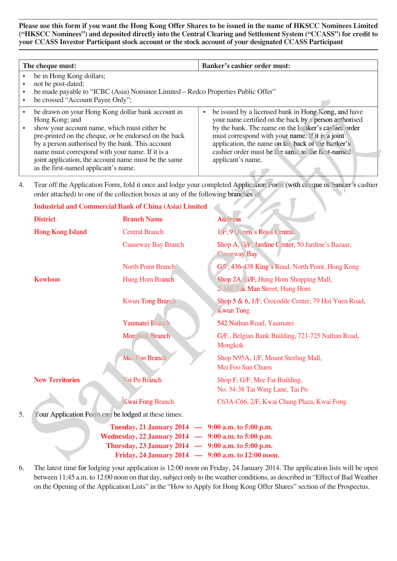**Please use this form if you want the Hong Kong Offer Shares to be issued in the name of HKSCC Nominees Limited ("HKSCC Nominees") and deposited directly into the Central Clearing and Settlement System ("CCASS") for credit to your CCASS Investor Participant stock account or the stock account of your designated CCASS Participant**

| The cheque must: |                                                                                                                                                                                                                                                                                                                                                                                     |                            | <b>Banker's cashier order must:</b>                                                                                                                                                                                                                                                                                                                     |  |  |
|------------------|-------------------------------------------------------------------------------------------------------------------------------------------------------------------------------------------------------------------------------------------------------------------------------------------------------------------------------------------------------------------------------------|----------------------------|---------------------------------------------------------------------------------------------------------------------------------------------------------------------------------------------------------------------------------------------------------------------------------------------------------------------------------------------------------|--|--|
| $\bullet$        | be in Hong Kong dollars;<br>not be post-dated;<br>be made payable to "ICBC (Asia) Nominee Limited - Redco Properties Public Offer"<br>be crossed "Account Payee Only";                                                                                                                                                                                                              |                            |                                                                                                                                                                                                                                                                                                                                                         |  |  |
| $\bullet$        | be drawn on your Hong Kong dollar bank account in<br>Hong Kong; and<br>show your account name, which must either be<br>pre-printed on the cheque, or be endorsed on the back<br>by a person authorised by the bank. This account<br>name must correspond with your name. If it is a<br>joint application, the account name must be the same<br>as the first-named applicant's name. |                            | be issued by a licensed bank in Hong Kong, and have<br>your name certified on the back by a person authorised<br>by the bank. The name on the banker's cashier order<br>must correspond with your name. If it is a joint<br>application, the name on the back of the banker's<br>cashier order must be the same as the first-named<br>applicant's name. |  |  |
| 4.               | Tear off the Application Form, fold it once and lodge your completed Application Form (with cheque or banker's cashier<br>order attached) to one of the collection boxes at any of the following branches of:                                                                                                                                                                       |                            |                                                                                                                                                                                                                                                                                                                                                         |  |  |
|                  | <b>Industrial and Commercial Bank of China (Asia) Limited</b>                                                                                                                                                                                                                                                                                                                       |                            |                                                                                                                                                                                                                                                                                                                                                         |  |  |
|                  | <b>District</b>                                                                                                                                                                                                                                                                                                                                                                     | <b>Branch Name</b>         | <b>Address</b>                                                                                                                                                                                                                                                                                                                                          |  |  |
|                  | <b>Hong Kong Island</b>                                                                                                                                                                                                                                                                                                                                                             | <b>Central Branch</b>      | 1/F, 9 Queen's Road Central                                                                                                                                                                                                                                                                                                                             |  |  |
|                  |                                                                                                                                                                                                                                                                                                                                                                                     | <b>Causeway Bay Branch</b> | Shop A, G/F, Jardine Center, 50 Jardine's Bazaar,<br><b>Causeway Bay</b>                                                                                                                                                                                                                                                                                |  |  |
|                  |                                                                                                                                                                                                                                                                                                                                                                                     | <b>North Point Branch</b>  | G/F, 436-438 King's Road, North Point, Hong Kong                                                                                                                                                                                                                                                                                                        |  |  |
|                  |                                                                                                                                                                                                                                                                                                                                                                                     | ---                        |                                                                                                                                                                                                                                                                                                                                                         |  |  |

| <b>Industrial and Commercial Bank of China (Asia) Limited</b> |                                                                                                                                                                                                                      |                                                                          |  |
|---------------------------------------------------------------|----------------------------------------------------------------------------------------------------------------------------------------------------------------------------------------------------------------------|--------------------------------------------------------------------------|--|
| <b>District</b>                                               | <b>Branch Name</b>                                                                                                                                                                                                   | <b>Address</b>                                                           |  |
| <b>Hong Kong Island</b>                                       | <b>Central Branch</b>                                                                                                                                                                                                | 1/F, 9 Queen's Road Central                                              |  |
|                                                               | <b>Causeway Bay Branch</b>                                                                                                                                                                                           | Shop A, G/F, Jardine Center, 50 Jardine's Bazaar,<br><b>Causeway Bay</b> |  |
|                                                               | North Point Branch                                                                                                                                                                                                   | G/F, 436-438 King's Road, North Point, Hong Kong                         |  |
| <b>Kowloon</b>                                                | Hung Hom Branch                                                                                                                                                                                                      | Shop 2A, G/F, Hung Hom Shopping Mall,<br>2-34E Tak Man Street, Hung Hom  |  |
|                                                               | <b>Kwun Tong Branch</b>                                                                                                                                                                                              | Shop 5 & 6, 1/F, Crocodile Center, 79 Hoi Yuen Road,<br><b>Kwun Tong</b> |  |
|                                                               | Yaumatei Branch                                                                                                                                                                                                      | 542 Nathan Road, Yaumatei                                                |  |
|                                                               | <b>Mongkok Branch</b>                                                                                                                                                                                                | G/F., Belgian Bank Building, 721-725 Nathan Road,<br><b>Mongkok</b>      |  |
|                                                               | Mei Foo Branch                                                                                                                                                                                                       | Shop N95A, 1/F, Mount Sterling Mall,<br>Mei Foo Sun Chuen                |  |
| <b>New Territories</b>                                        | Tai Po Branch                                                                                                                                                                                                        | Shop F, G/F, Mee Fat Building,<br>No. 34-38 Tai Wing Lane, Tai Po        |  |
|                                                               | <b>Kwai Fong Branch</b>                                                                                                                                                                                              | C63A-C66, 2/F, Kwai Chung Plaza, Kwai Fong                               |  |
|                                                               | Your Application Form can be lodged at these times:                                                                                                                                                                  |                                                                          |  |
|                                                               | Tuesday, 21 January 2014 - 9:00 a.m. to 5:00 p.m.<br>Wednesday, 22 January 2014 - 9:00 a.m. to 5:00 p.m.<br>Thursday, 23 January 2014 - 9:00 a.m. to 5:00 p.m.<br>Friday, 24 January 2014 - 9:00 a.m. to 12:00 noon. |                                                                          |  |

6. The latest time for lodging your application is 12:00 noon on Friday, 24 January 2014. The application lists will be open between 11:45 a.m. to 12:00 noon on that day, subject only to the weather conditions, as described in "Effect of Bad Weather on the Opening of the Application Lists" in the "How to Apply for Hong Kong Offer Shares" section of the Prospectus.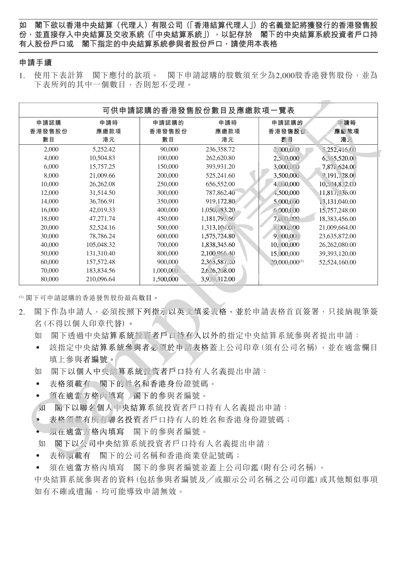### **申請手續**

1. 使用下表計算 閣下應付的款項。 閣下申請認購的股數須至少為2,000股香港發售股份,並為 下表所列的其中一個數目,否則恕不受理。

| 申請認購                                                                                                                                      | 申請時                           | 申請認購的              | 申請時                          | 申請認購的                    | 申請時                            |
|-------------------------------------------------------------------------------------------------------------------------------------------|-------------------------------|--------------------|------------------------------|--------------------------|--------------------------------|
| 香港發售股份                                                                                                                                    | 應繳款項                          | 香港發售股份             | 應繳款項                         | 香港發售股份                   | 應繳款項                           |
| 數目                                                                                                                                        | 港元                            | 數目                 | 港元                           | 數目                       | 港元                             |
| 2,000                                                                                                                                     | 5,252.42                      | 90,000             | 236,358.72                   | 2,000,000                | 5,252,416.00                   |
| 4,000                                                                                                                                     | 10,504.83                     | 100,000            | 262,620.80                   | 2,500,000                | 6,565,520.00                   |
| 6,000                                                                                                                                     | 15,757.25                     | 150,000            | 393,931.20                   | 3,000,000                | 7,878,624.00                   |
| 8,000                                                                                                                                     | 21,009.66                     | 200,000            | 525,241.60                   | 3,500,000                | 9,191,728.00                   |
| 10,000                                                                                                                                    | 26,262.08                     | 250,000            | 656,552.00                   | 4,000,000                | 10,504,832.00                  |
| 12,000                                                                                                                                    | 31,514.50                     | 300,000            | 787,862.40                   | 4,500,000                | 11,817,936.00                  |
| 14,000                                                                                                                                    | 36,766.91                     | 350,000            | 919,172.80                   | 5,000,000                | 13,131,040.00                  |
| 16,000                                                                                                                                    | 42,019.33                     | 400,000            | 1,050,483.20                 | 6,000,000                | 15,757,248.00                  |
| 18,000                                                                                                                                    | 47,271.74                     | 450,000            | 1,181,793.60                 | 7,000,000                | 18,383,456.00                  |
| 20,000                                                                                                                                    | 52,524.16                     | 500,000            | 1,313,104.00                 | 8,000,000                | 21,009,664.00                  |
| 30,000                                                                                                                                    | 78,786.24                     | 600,000            | 1,575,724.80                 | 9,000,000                | 23,635,872.00                  |
| 40,000<br>50,000                                                                                                                          | 105,048.32<br>131,310.40      | 700,000<br>800,000 | 1,838,345.60<br>2,100,966.40 | 10,000,000<br>15,000,000 | 26,262,080.00<br>39,393,120.00 |
| 60,000                                                                                                                                    | 157,572.48                    | 900,000            | 2,363,587.20                 | $20,000,000^{(1)}$       | 52,524,160.00                  |
| 70,000                                                                                                                                    | 183,834.56                    | 1,000,000          | 2,626,208.00                 |                          |                                |
| 80,000                                                                                                                                    | 210,096.64                    | 1,500,000          | 3,939,312.00                 |                          |                                |
| (1) 閣下可申請認購的香港發售股份最高數目。<br>閣下作為申請人,必須按照下列指示以英文填妥表格,並於申請表格首頁簽署,只接納親筆簽<br>2.<br>名(不得以個人印章代替)。<br>閣下透過中央結算系統投資者戶口持有人以外的指定中央結算系統參與者提出申請:<br>如 |                               |                    |                              |                          |                                |
| 該指定中央結算系統參與者必須於申請表格蓋上公司印章(須有公司名稱),並在適當欄目<br>$\bullet$                                                                                     |                               |                    |                              |                          |                                |
| 填上參與者編號。                                                                                                                                  |                               |                    |                              |                          |                                |
| 閣下以個人中央結算系統投資者戶口持有人名義提出申請:<br>如                                                                                                           |                               |                    |                              |                          |                                |
| 閣下的姓名和香港身份證號碼。<br>表格須載有<br>$\bullet$                                                                                                      |                               |                    |                              |                          |                                |
| 須在適當方格內填寫 閣下的參與者編號。                                                                                                                       |                               |                    |                              |                          |                                |
| 如                                                                                                                                         | 閣下以聯名個人中央結算系統投資者戶口持有人名義提出申請:  |                    |                              |                          |                                |
| $\bullet$                                                                                                                                 | 表格須載有所有聯名投資者戶口持有人的姓名和香港身份證號碼; |                    |                              |                          |                                |
|                                                                                                                                           | 須在適當方格內填寫 閣下的參與者編號。           |                    |                              |                          |                                |
| 如                                                                                                                                         |                               |                    |                              |                          |                                |
| 閣下以公司中央結算系統投資者戶口持有人名義提出申請:<br>- 閣下的公司名稱和香港商業登記號碼;                                                                                         |                               |                    |                              |                          |                                |
| 表格須載有                                                                                                                                     |                               |                    |                              |                          |                                |

- 2. 閣下作為申請人,必須按照下列指示以英文填妥表格,並於申請表格首頁簽署,只接納親筆簽 名(不得以個人印章代替)。 名(不得以個人印章代替)。<br>如 閣下透過中央結<mark>算系統</mark>投資者戶口持有人以外的指定中央結算系統參與者提出申請:
	-
	- 該指定中央結算系統參與者必須於申請表格蓋上公司印章(須有公司名稱),並在適當欄目 填上參與者編號。
	- 填上參與者編號。<br>如 閣下以個人中央結算系統投資者戶口持有人名義提出申請:
	- 表格須載有 閣下的姓名和香港身份證號碼。
	- 須在適當方格內填寫 閣下的參與者編號。
	- 如 閣下以聯名個人中央結算系統投資者戶口持有人名義提出申請:
	- 表格須載有所有聯名投資者戶口持有人的姓名和香港身份證號碼;
	- 須在適當方格內填寫 閣下的參與者編號。
	- 如 閣下以公司中央結算系統投資者戶口持有人名義提出申請:
	- 表格須載有 閣下的公司名稱和香港商業登記號碼;
	- 須在適當方格內填寫 閣下的參與者編號並蓋上公司印鑑(附有公司名稱)。

中央結算系統參與者的資料(包括參與者編號及╱或顯示公司名稱之公司印鑑)或其他類似事項 如有不確或遺漏,均可能導致申請無效。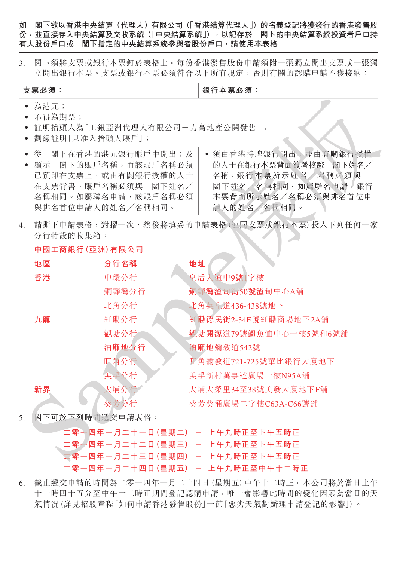3. 閣下須將支票或銀行本票釘於表格上。每份香港發售股份申請須附一張獨立開出支票或一張獨 立開出銀行本票。支票或銀行本票必須符合以下所有規定,否則有關的認購申請不獲接納:

|    | 支票必須:                             |                                                                                                                                    | 銀行本票必須:                                                                                                                         |
|----|-----------------------------------|------------------------------------------------------------------------------------------------------------------------------------|---------------------------------------------------------------------------------------------------------------------------------|
|    | 為港元;<br>不得為期票;<br>劃線註明「只准入抬頭人賬戶」; | 註明抬頭人為「工銀亞洲代理人有限公司-力高地產公開發售」;                                                                                                      |                                                                                                                                 |
|    | 從                                 | 閣下在香港的港元銀行賬戶中開出;及<br>顯示 閣下的賬戶名稱,而該賬戶名稱必須<br>已預印在支票上,或由有關銀行授權的人士<br>在支票背書。賬戶名稱必須與 閣下姓名/<br>名稱相同。如屬聯名申請,該賬戶名稱必須<br>與排名首位申請人的姓名/名稱相同。 | • 須由香港持牌銀行開出、並由有關銀行授權<br>的人士在銀行本票背面簽署核證 閣下姓名/<br>名稱。銀行本票所示姓名/名稱必須與<br>閣下姓名/名稱相同。如屬聯名申請,銀行<br>本票背面所示姓名/名稱必須與排名首位申<br>請人的姓名/名稱相同。 |
| 4. | 分行特設的收集箱:                         |                                                                                                                                    | 請撕下申請表格,對摺一次,然後將填妥的申請表格(連同支票或銀行本票)投入下列任何一家                                                                                      |
|    | 中國工商銀行(亞洲)有限公司                    |                                                                                                                                    |                                                                                                                                 |
|    | 地區                                | 分行名稱                                                                                                                               | 地址                                                                                                                              |
|    | 禾洪                                | 击把丛仁                                                                                                                               |                                                                                                                                 |

| 地區                     | 分行名稱  | 地址                    |
|------------------------|-------|-----------------------|
| 香港                     | 中環分行  | 皇后大道中9號1字樓            |
|                        | 銅鑼灣分行 | 銅鑼灣渣甸街50號渣甸中心A舖       |
|                        | 北角分行  | 北角英皇道436-438號地下       |
| 九龍                     | 紅磡分行  | 紅磡德民街2-34E號紅磡商場地下2A舖  |
|                        | 觀塘分行  | 觀塘開源道79號鱷魚恤中心一樓5號和6號舖 |
|                        | 油麻地分行 | 油麻地彌敦道542號            |
|                        | 旺角分行  | 旺角彌敦道721-725號華比銀行大廈地下 |
|                        | 美孚分行  | 美孚新村萬事達廣場一樓N95A舖      |
| 新界                     | 大埔分   | 大埔大榮里34至38號美發大廈地下F舖   |
|                        | 葵芳    | 葵芳葵涌廣場二字樓C63A-C66號舖   |
| <b>MALES 1997 1998</b> |       |                       |

5. 閣下可於下列時間遞交申請表格:

| 二零一四年一月二十一日(星期二) - 上午九時正至下午五時正  |  |
|---------------------------------|--|
| 二零一四年一月二十二日(星期三) - 上午九時正至下午五時正  |  |
| ○《零一四年一月二十三日(星期四) ─ 上午九時正至下午五時正 |  |
| 二零一四年一月二十四日(星期五) - 上午九時正至中午十二時正 |  |

6. 截止遞交申請的時間為二零一四年一月二十四日(星期五)中午十二時正。本公司將於當日上午 十一時四十五分至中午十二時正期間登記認購申請,唯一會影響此時間的變化因素為當日的天 氣情況(詳見招股章程「如何申請香港發售股份」一節「惡劣天氣對辦理申請登記的影響」)。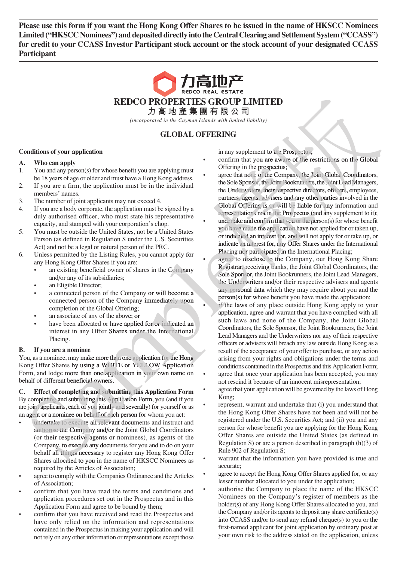**Please use this form if you want the Hong Kong Offer Shares to be issued in the name of HKSCC Nominees Limited ("HKSCC Nominees") and deposited directly into the Central Clearing and Settlement System ("CCASS") for credit to your CCASS Investor Participant stock account or the stock account of your designated CCASS Participant**



## **GLOBAL OFFERING**

**Conditions of your application**

#### **A. Who can apply**

- 1. You and any person(s) for whose benefit you are applying must be 18 years of age or older and must have a Hong Kong address.
- 2. If you are a firm, the application must be in the individual members' names.
- 3. The number of joint applicants may not exceed 4.
- 4. If you are a body corporate, the application must be signed by a duly authorised officer, who must state his representative capacity, and stamped with your corporation's chop.
- 5. You must be outside the United States, not be a United States Person (as defined in Regulation S under the U.S. Securities Act) and not be a legal or natural person of the PRC.
- 6. Unless permitted by the Listing Rules, you cannot apply for any Hong Kong Offer Shares if you are:
	- an existing beneficial owner of shares in the Company and/or any of its subsidiaries;
	- an Eligible Director;
	- a connected person of the Company or will become a connected person of the Company immediately upon connected person of the Company immediately upon completion of the Global Offering;
	- completion of the Global Offering;<br>• an associate of any of the above; or
	- have been allocated or have applied for or indicated an interest in any Offer Shares under the International Placing.

### **B.** If you are a nominee

You, as a nominee, may make more than one application for the Hong Kong Offer Shares by using a WHITE or YELLOW Application Form, and lodge more than one application in your own name on behalf of different beneficial owners.

**C.** Effect of completing and submitting this Application Form By completing and submitting this Application Form, you (and if you are joint applicants, each of you jointly and severally) for yourself or as an agent or a nominee on behalf of each person for whom you act:

- undertake to execute all relevant documents and instruct and authorise the Company and/or the Joint Global Coordinators (or their respective agents or nominees), as agents of the Company, to execute any documents for you and to do on your behalf all things necessary to register any Hong Kong Offer Shares allocated to you in the name of HKSCC Nominees as required by the Articles of Association; Act) and of the sagge of natural person of the PKL and the near the same of the company<br>
any Hong Kong Offer Shares if you are:<br>
any Hong Kong Offer Shares if you are:<br>
any Hong Kong Offer Shares in you are:<br>
and/or any of
- agree to comply with the Companies Ordinance and the Articles of Association;
- confirm that you have read the terms and conditions and application procedures set out in the Prospectus and in this Application Form and agree to be bound by them;
- confirm that you have received and read the Prospectus and have only relied on the information and representations contained in the Prospectus in making your application and will not rely on any other information or representations except those

in any supplement to the Prospectus;

- confirm that you are aware of the restrictions on the Global Offering in the prospectus;
- agree that none of the Company, the Joint Global Coordinators, the Sole Sponsor, the Joint Bookrunners, the Joint Lead Managers, the Underwriters, their respective directors, officers, employees, partners, agents, advisers and any other parties involved in the Global Offering is or will be liable for any information and S GROUP LIMITED<br>  $\blacksquare$   $\bar{A}$   $\bar{B}$   $\bar{C}$   $\bar{C}$   $\bar{D}$ <br>  $\bar{C}$   $\bar{C}$   $\bar{D}$   $\bar{C}$   $\bar{C}$   $\bar{D}$   $\bar{C}$   $\bar{C}$   $\bar{D}$   $\bar{C}$   $\bar{C}$   $\bar{C}$   $\bar{D}$   $\bar{C}$   $\bar{C}$   $\bar{C}$   $\bar{C}$   $\bar{C}$   $\bar{C}$   $\bar{$
- representations not in the Prospectus (and any supplement to it);  $\bullet$  undertake and confirm that you or the person(s) for whose benefit you have made the application have not applied for or taken up, or indicated an interest for, and will not apply for or take up, or indicate an interest for, any Offer Shares under the International Placing nor participated in the International Placing;
- agree to disclose to the Company, our Hong Kong Share Registrar, receiving banks, the Joint Global Coordinators, the Sole Sponsor, the Joint Bookrunners, the Joint Lead Managers, the Underwriters and/or their respective advisers and agents Underw any personal data which they may require about you and the person(s) for whose benefit you have made the application;
- if the laws of any place outside Hong Kong apply to your application, agree and warrant that you have complied with all such laws and none of the Company, the Joint Global Coordinators, the Sole Sponsor, the Joint Bookrunners, the Joint Coor Lead Managers and the Underwriters nor any of their respective Le officers or advisers will breach any law outside Hong Kong as a result of the acceptance of your offer to purchase, or any action arising from your rights and obligations under the terms and conditions contained in the Prospectus and this Application Form; agree that once your application has been accepted, you may not rescind it because of an innocent misrepresentation;
	- agree that your application will be governed by the laws of Hong Kong;
- represent, warrant and undertake that (i) you understand that the Hong Kong Offer Shares have not been and will not be registered under the U.S. Securities Act; and (ii) you and any person for whose benefit you are applying for the Hong Kong Offer Shares are outside the United States (as defined in Regulation S) or are a person described in paragraph (h)(3) of Rule 902 of Regulation S;
- warrant that the information you have provided is true and accurate;
- agree to accept the Hong Kong Offer Shares applied for, or any lesser number allocated to you under the application;
- authorise the Company to place the name of the HKSCC Nominees on the Company's register of members as the holder(s) of any Hong Kong Offer Shares allocated to you, and the Company and/or its agents to deposit any share certificate(s) into CCASS and/or to send any refund cheque(s) to you or the first-named applicant for joint application by ordinary post at your own risk to the address stated on the application, unless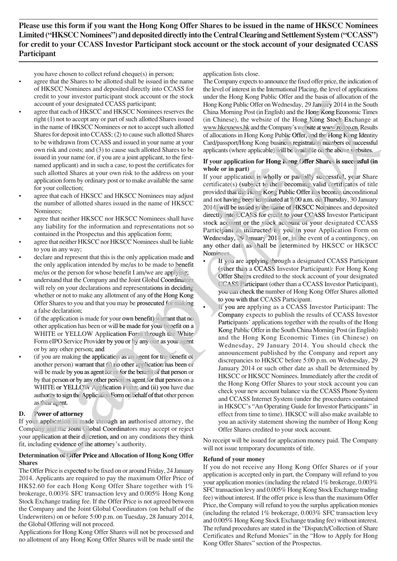**Please use this form if you want the Hong Kong Offer Shares to be issued in the name of HKSCC Nominees Limited ("HKSCC Nominees") and deposited directly into the Central Clearing and Settlement System ("CCASS") for credit to your CCASS Investor Participant stock account or the stock account of your designated CCASS Participant**

you have chosen to collect refund cheque(s) in person;

- agree that the Shares to be allotted shall be issued in the name of HKSCC Nominees and deposited directly into CCASS for credit to your investor participant stock account or the stock account of your designated CCASS participant;
- agree that each of HKSCC and HKSCC Nominees reserves the right (1) not to accept any or part of such allotted Shares issued in the name of HKSCC Nominees or not to accept such allotted Shares for deposit into CCASS; (2) to cause such allotted Shares to be withdrawn from CCASS and issued in your name at your own risk and costs; and (3) to cause such allotted Shares to be issued in your name (or, if you are a joint applicant, to the firstnamed applicant) and in such a case, to post the certificates for such allotted Shares at your own risk to the address on your application form by ordinary post or to make available the same for your collection;
- agree that each of HKSCC and HKSCC Nominees may adjust the number of allotted shares issued in the name of HKSCC Nominees;
- agree that neither HKSCC nor HKSCC Nominees shall have any liability for the information and representations not so contained in the Prospectus and this application form;
- agree that neither HKSCC nor HKSCC Nominees shall be liable to you in any way;
- declare and represent that this is the only application made and the only application intended by me/us to be made to benefit me/us or the person for whose benefit I am/we are applying;
- understand that the Company and the Joint Global Coordinators will rely on your declarations and representations in deciding whether or not to make any allotment of any of the Hong Kong Offer Shares to you and that you may be prosecuted for making a false declaration; I am/we are applying;<br>bint Global Coordinator<br>resentations in decidin<br>of any of the Hong Kon<br>e prosecuted for makin
- (if the application is made for your own benefit) warrant that no other application has been or will be made for your benefit on a WHITE or YELLOW Application Form through the White WHITE or YELLOW Application Form through the White<br>Form eIPO Service Provider by you or by any one as your agent or by any other person; and
- (if you are making the application as an agent for the benefit of or by any other person; and<br>(if you are making the application as an agent for the benefit of<br>another person) warrant that (i) no other application has been or will be made by you as agent for or for the benefit of that person or by that person or by any other person as agent for that person on a WHITE or YELLOW Application Form; and (ii) you have due authority to sign the Application Form on behalf of that other person as their agent. agen to you in any way:<br>
decline and represent that this is the only application made and<br>
decline and Nominess.<br>
the only application intended by me/us to be made to benefit<br>
me/us or the preson for whose benefit I ani/us are

### **D. Power of attorney . P**

If your application is made through an authorised attorney, the Company and the Joint Global Coordinators may accept or reject your application at their discretion, and on any conditions they think fit, including evidence of the attorney's authority.

#### **Determination of Offer Price and Allocation of Hong Kong Offer an Off Shares**

The Offer Price is expected to be fixed on or around Friday, 24 January 2014. Applicants are required to pay the maximum Offer Price of HK\$2.60 for each Hong Kong Offer Share together with 1% brokerage, 0.003% SFC transaction levy and 0.005% Hong Kong Stock Exchange trading fee. If the Offer Price is not agreed between the Company and the Joint Global Coordinators (on behalf of the Underwriters) on or before 5:00 p.m. on Tuesday, 28 January 2014, the Global Offering will not proceed.

Applications for Hong Kong Offer Shares will not be processed and no allotment of any Hong Kong Offer Shares will be made until the

application lists close.

The Company expects to announce the fixed offer price, the indication of the level of interest in the International Placing, the level of applications under the Hong Kong Public Offer and the basis of allocation of the Hong Kong Public Offer on Wednesday, 29 January 2014 in the South China Morning Post (in English) and the Hong Kong Economic Times (in Chinese), the website of the Hong Kong Stock Exchange at www.hkexnews.hk and the Company's website at www.redco.cn. Results of allocations in Hong Kong Public Offer, and the Hong Kong Identity Card/passport/Hong Kong business registration numbers of successful applicants (where applicable) will be available on the above websites. bilic Offer and the basis of allocation of the<br>m Wednesday, 29 January 2014 in the South<br>English) and the Hong Kong Economic Times<br>te of the Hong Kong Stock Exchange at<br>company's website at www.redco.cn. Results<br>mg Public

#### If your application for Hong Kong Offer Shares is successful (in **whole or in part) )**

If your application is wholly or partially successful, your Share certificate(s) (subject to their becoming valid certificates of title provided that the Hong Kong Public Offer has become unconditional and not having been terminated at 8:00 a.m. on Thursday, 30 January 2014) will be issued in the name of HKSCC Nominees and deposited directly into CCASS for credit to your CCASS Investor Participant stock account or the stock account of your designated CCASS Participant as instructed by you in your Application Form on Wednesday, 29 January 2014 or, in the event of a contingency, on any other date as shall be determined by HKSCC or HKSCC **Nominees** under the Hong Kong Public Offer and the basis of allocation of the<br>Hong Kong Public Offer on Wednesday, 29 January 2014 in the South<br>China Moming Post (in English) and the Hong Kong Economic Times<br>(in Chinese), the websit

- Nominees.<br>• If you are applying through a designated CCASS Participant (other than a CCASS Investor Participant): For Hong Kong Offer Shares credited to the stock account of your designated CCASS Participant (other than a CCASS Investor Participant), you can check the number of Hong Kong Offer Shares allotted to you with that CCASS Participant.
- If you are applying as a CCASS Investor Participant: The Company expects to publish the results of CCASS Investor Company Participants' applications together with the results of the Hong Particip Kong Public Offer in the South China Morning Post (in English) Kon and the Hong Kong Economic Times (in Chinese) on a Wednesday, 29 January 2014. You should check the announcement published by the Company and report any discrepancies to HKSCC before 5:00 p.m. on Wednesday, 29 January 2014 or such other date as shall be determined by HKSCC or HKSCC Nominees. Immediately after the credit of the Hong Kong Offer Shares to your stock account you can check your new account balance via the CCASS Phone System and CCASS Internet System (under the procedures contained in HKSCC's "An Operating Guide for Investor Participants" in effect from time to time). HKSCC will also make available to you an activity statement showing the number of Hong Kong Offer Shares credited to your stock account.

No receipt will be issued for application money paid. The Company will not issue temporary documents of title.

#### **Refund of your money**

If you do not receive any Hong Kong Offer Shares or if your application is accepted only in part, the Company will refund to you your application monies (including the related 1% brokerage, 0.003% SFC transaction levy and 0.005% Hong Kong Stock Exchange trading fee) without interest. If the offer price is less than the maximum Offer Price, the Company will refund to you the surplus application monies (including the related 1% brokerage, 0.003% SFC transaction levy and 0.005% Hong Kong Stock Exchange trading fee) without interest. The refund procedures are stated in the "Dispatch/Collection of Share Certificates and Refund Monies" in the "How to Apply for Hong Kong Offer Shares" section of the Prospectus.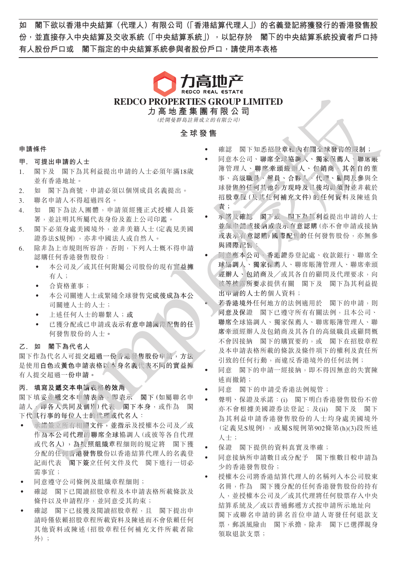

(於開曼群島註冊成立的有限公司)

### **全球發售**

#### **申請條件**

**甲**. **可提出申請的人士**

- 1. 閣下及 閣下為其利益提出申請的人士必須年滿18歲 並有香港地址。
- 2. 如 閣下為商號,申請必須以個別成員名義提出。
- 3. 聯名申請人不得超過四名。
- 4. 如 閣下為法人團體,申請須經獲正式授權人員簽 署,並註明其所屬代表身份及蓋上公司印鑑。
- 5. 閣下必須身處美國境外,並非美籍人士(定義見美國 證券法S規例),亦非中國法人或自然人。
- 6. 除非為上市規則所容許,否則,下列人士概不得申請 認購任何香港發售股份:
	- 本公司及/或其任何附屬公司股份的現有實益擁 有人;
	- ‧ 合資格董事;
	- 本公司關連人士或緊隨全球發售完成後成為本公 司關連人士的人士;
	- ‧ 上述任何人士的聯繫人;或
	- 已獲分配或已申請或表示有意申請國際配售的任 何發售股份的人士。

## **乙**. **如 閣下為代名人**

何發售股份的人士。<br>乙.如 閣下為代名人<br>閣下作為代名人可提交超過一份香港發售股份申請,方法 是使用<mark>白色或黃色</mark>申請表格以本身名義代表不同的實益擁<br>有人提交超過一<mark>份申請。</mark> 有人提交超過一份申請。

#### **丙**. **填寫及遞交本申請表格的效用 及遞交本申請表格的效用 申請表格的效用**

閣下填妥並遞交本申請表格,即表示 閣下(如屬聯名申 請人 / 即各人共同及個別) 代表 │閣下本身,或作為 閣 下代其行事的每位人士的代理或代名人: 代其行事的每位人士的代理或

- 承諾簽立所有相關文件,並指示及授權本公司及/或 作為本公司代理的聯席全球協調人(或彼等各自代理 或代名人),為按照組織章程細則的規定將 閣下獲 名人),為按照組織章 分配的任何香港發售股份以香港結算代理人的名義登 記而代表 閣下簽立任何文件及代 閣下進行一切必 需事宜; Sample請有實益擁售完成後成為本公;或表示有意申請國際配售的任 請國際配
- ‧ 同意遵守公司條例及組織章程細則;
- ‧ 確認 閣下已閱讀招股章程及本申請表格所載條款及 條件以及申請程序,並同意受其約束;
- 確認 閣下已接獲及閱讀招股章程, 目 閣下提出申 請時僅依賴招股章程所載資料及陳述而不會依賴任何 其他資料或陳述(招股章程任何補充文件所載者除 外) ;
- ‧ 確認 閣下知悉招股章程內有關全球發售的限制;
- 同意本公司、聯席全球協調人、獨家保薦人、聯席賬 同意本公司、聯席全球協調人、獨家保薦人、聯席賬<br>簿管理人、聯席牽頭經辦人、包銷商、其各自的董 事、高級職員、僱員、合夥人、代理、顧問及參與全 球發售的任何其他各方現時及日後均毋須對並非載於 招股章程(及其任何補充文件)的任何資料及陳述負 招股章程(及其任何補充文件)的任何資料 責; S GROUP LIMITED<br>團有限公司<br>後售 確認 閣下知悉招股章程內有關全球發售的東馬人會<br>市意本公司、聯席牽頭經濟人、化理、顧問及與國際主義的任何其他行为現時及日後均要求就可能要求。<br>事事有一個人,提供在何補充文件)的任何資料及陳述<br>打印書:新聞人員,他們有限公平的任何資料及陳述負責。<br>我股章程(及其任何補充文件)的任何資料及陳述負責;<br>人確認 閣下或 閣下為其利益提出申請或接触<br>有責; 人確認 閣下或 開下為其利益提出申請或接
- 承諾及確認 閣下或 閣下為其利益提出申請的人士 並無申請或接納或表示有意認購(亦不會申請或接納 或表示有意認購) 國際配售的任何發售股份,亦無參 與國際配售;
- ─ 與國際配售;<br>● 同意應本公司、香港證券登記處、收款銀行、聯席全 球協調人、獨家保薦人、聯席賬簿管理人、聯席牽頭 經辦人、包銷商及/或其各自的顧問及代理要求,向 彼等披露所要求提供有關 閣下及 閣下為其利益提 出申請的人士的個人資料; 出申請的人士的 出申請的
- 若香港境外任何地方的法例適用於 閣下的申請,則 同意及保證 閣下已遵守所有有關法例,且本公司、 同意及保證 聯席全球協調人、獨家保薦人、聯席賬簿管理人、聯 聯席全 席牽頭經辦人及包銷商及其各自的高級職員或顧問概 不會因接納 閣下的購買要約,或 閣下在招股章程 及本申請表格所載的條款及條件項下的權利及責任所 引致的任何行動,而違反香港境外的任何法例;
- ‧ 同意 閣下的申請一經接納,即不得因無意的失實陳 述而撤銷;
- ‧ 同意 閣下的申請受香港法例規管;
- 聲明、保證及承諾:(i) 閣下明白香港發售股份不曾 亦不會根據美國證券法登記;及(ii) 閣下及 閣下 為其利益申請香港發售股份的人士均身處美國境外 (定義見S規例),或屬S規例第902條第(h)(3)段所述 人士;
- 保證 閣下提供的資料真實及準確;
- ‧ 同意接納所申請數目或分配予 閣下惟數目較申請為 少的香港發售股份;
- 授權本公司將香港結算代理人的名稱列入本公司股東 名冊,作為 閣下獲分配的任何香港發售股份的持有 人,並授權本公司及╱或其代理將任何股票存入中央 結算系統及╱或以普通郵遞方式按申請所示地址向 閣下或聯名申請的排名首位申請人寄發任何退款支 票,郵誤風險由 閣下承擔,除非 閣下已選擇親身 領取退款支票;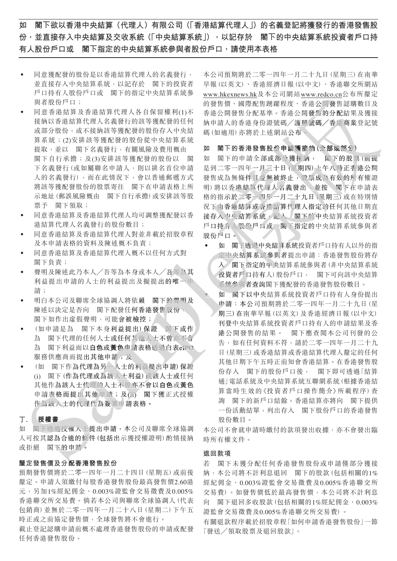- ‧ 同意獲配發的股份是以香港結算代理人的名義發行, 並直接存入中央結算系統,以記存於 閣下的投資者 戶口持有人股份戶口或 閣下的指定中央結算系統參 與者股份戶口;
- 同意香港結算人在算代理人各自保留權利(1)不 接納以香港結算代理人名義發行的該等獲配發的任何 或部分股份,或不接納該等獲配發的股份存入中央結 算系統;(2)安排該等獲配發的股份從中央結算系統 提取,並以 閣下名義發行,有關風險及費用概由 閣下自行承擔;及(3)安排該等獲配發的股份以 閣 下名義發行(或如屬聯名申請人,則以排名首位申請 人的名義發行),而在此情況下,會以普通郵遞方式 將該等獲配發股份的股票寄往 閣下在申請表格上所 示地址(郵誤風險概由 閣下自行承擔)或安排該等股 票予 閣下領取;
- 同意香港結算人理人均可調整獲配發以香 港結算代理人名義發行的股份數目;
- 同意香港結算及香港結算代理人對並非載於招股章程 及本申請表格的資料及陳述概不負責;
- 同意香港結算人理人概不以任何方式對 閣下負責;
- ‧ 聲明及陳述此乃本人╱吾等為本身或本人╱吾等為其 利益提出申請的人士的利益提出及擬提出的唯一申 請;
- ‧ 明白本公司及聯席全球協調人將依賴 閣下的聲明及 陳述以決定是否向 閣下配發任何香港發售股份, 閣下如作出虛假聲明,可能會被檢控;
- ‧ (如申請是為 閣下本身利益提出)保證 閣下或作 為 閣下代理的任何人士或任何其他人士不曾亦不會 人士或任何其他人士不曾亦不會 其他人士不曾亦不會為 閣下利益而以**白色或黃色**申請表格透過白表eIPO 服務供應商而提出其他申請;及
- (如 閣下作為代理為另一人士的利益提出申請)保證 (i) 閣下(作為代理或為該人士利益)或該人士或任何 其他作為該人士代理的人士不曾亦不會以**白色**或**黃色** 作為該人士代理的人士不曾亦不會以 代理的人士不曾亦不會 申請表格而提出其他申請;及(ii) 閣下獲正式授權 作為該人士的代理代為簽署申請表格。 作為該人士的代理代為簽署申 Sample對 ╱吾等為其提出的唯一申依賴 閣下的聲明及任何香港發售股份, 會被檢控;身利益提出)保證 閣下或作 保證 閣下 <sup>ま商而提出其他申請;及<br>下作為代理為另一人士的利益提出申請) 保證<br>(作為代理或為該人士利益) 或該人士或任何</sup>

#### **丁**. **授權書**

如 閣下透過投權人士提出申請,本公司及聯席全球協調 人可按其認為合適的條件(包括出示獲授權證明)酌情接納 其認為合適的條件(包括出示 或拒絕 閣下的申請。 閣下的申請。

#### **釐定發售價及分配香港發售股份 分配香港發**

預期發售價將於二零一四年一月二十四日 (星期五) 或前後 釐定。申請人須繳付每股香港發售股份最高發售價2.60港 元,另加1%經紀佣金、0.003%證監會交易徵費及0.005% 香港聯交所交易費。倘若本公司與聯席全球協調人(代表 包銷商)並無於二零一四年一月二十八日(星期二)下午五 時正或之前協定發售價,全球發售將不會進行。

截止登記認購申請前概不處理香港發售股份的申請或配發 任何香港發售股份。

本公司預期將於二零一四年一月二十九日(星期三)在南華 早報(以英文)、香港經濟日報(以中文)、香港聯交所網站 www.hkexnews.hk及本公司網站www.redco.cn公布所釐定 的發售價、國際配售踴躍程度、香港公開發售認購數目及 香港公開發售分配基準。香港公開發售的分配結果及獲接 開發售的分配結 納申請人的香港身份證號碼/護照號碼/香港商業登記號 碼(如適用)亦將於上述網站公布。

**如 閣下的香港發售股份申請獲接納(全部或部分) 股份申請獲接納(全部或部分)**

如 閣下的申請全部或部分獲接納, 閣下的股票(前提 如 閣下的申請全部或部分獲接納, 閣下的股票(前提<br>是到二零一四年一月三十日(星期四)<mark>上午八時正香港公</mark>開 發售成為無條件且並無被終止,股票成為有效的所有權證 明)將以香港結算代理人名義發出 , 並按 、閣下在申請表 格的指示於二零一四年一月二十九日(星期三)或在特別情 況下由香港結算或香港結算代理人指定的任何其他日期直 下由香港結算或香港結算代理人指定的任何 下由香港結算或香港結算代理人指定的 接存入中央結算系統,記入《閣下的中央結算系統投資者 尸口持有人股份戶口或一閣下指定的中央結算系統參與者 股份戶口。 股份 www.hkexnews.hk及本公司網站www.redco.cn公布所定<br>的發售價、國際配售時躍程度、香港公開發售設購及獲計<br>香港公開發售分配基準。香港公開發售的分配結果及獲記<br>新中請人的香港設計<br>4、增加 的,并且是期間上午大時,我們有限公開下,同一一個下的中,含量的,一個不可以為不會是我的。同一等一個一個下,有限是一個一個不一個大學,所以以不會一個一個的指示於上述無被終止、股票成為有的所在自身需要的,所以以有一個一個方向,所以的指示

股份戶口。<br>● 如 閣下透過中央結算系統投資者戶口持有人以外的指 定中央結算系統參與者提出申請:香港發售股份將存 入 閣下指定的中央結算系統參與者(非中央結算系統 入 閣下指 指定的中央 投資者戶口持有人)股份戶口, 閣下可向該中央結算 投資者戶口持 持有人系統參與者查詢閣下獲配發的香港發售股份數目。

● 如 閣下以中央結算系統投資者戶口持有人身份提出 申請:本公司預期將於二零一四年一月二十九日(星 申請:本公司 期三)在南華早報(以英文)及香港經濟日報(以中文) 期三)在南 刊登中央結算系統投資者戶口持有人的申請結果及香 刊登中 港公開發售的結果。 閣下應查閱本公司刊發的公 港公 告,如有任何資料不符,請於二零一四年一月二十九 日(星期三)或香港結算或香港結算代理人釐定的任何 其他日期下午五時正前知會香港結算。在香港發售股 份存入 閣下的股份戶口後, 閣下即可透過「結算 通」電話系統及中央結算系統互聯網系統(根據香港結 算當時生效的《投資者戶口操作簡介》所載程序)查 詢 閣下的新戶口結餘。香港結算亦將向 閣下提供 一份活動結單,列出存入 閣下股份戶口的香港發售 股份數目。

本公司不會就申請時繳付的款項發出收據,亦不會發出臨 時所有權文件。

#### **退回款項**

若 閣下未獲分配任何香港發售股份或申請僅部分獲接 納,本公司將不計利息退回 閣下的股款(包括相關的1% 經紀佣金、0.003%證監會交易徵費及0.005%香港聯交所 交易費)。如發售價低於最高發售價,本公司將不計利息 向 閣下退回多收股款(包括相關的1%經紀佣金、0.003% 證監會交易徵費及0.005%香港聯交所交易費)。

有關退款程序載於招股章程「如何申請香港發售股份」一節 「發送╱領取股票及退回股款」。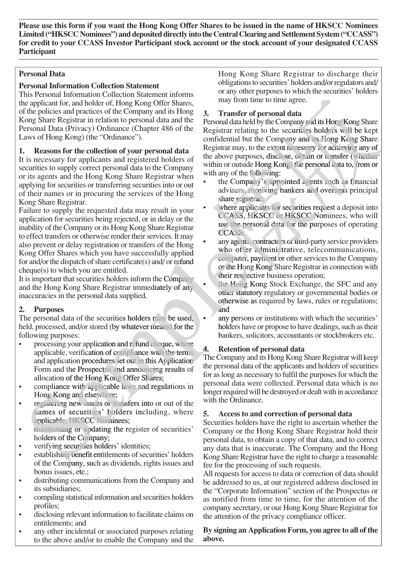**Please use this form if you want the Hong Kong Offer Shares to be issued in the name of HKSCC Nominees Limited ("HKSCC Nominees") and deposited directly into the Central Clearing and Settlement System ("CCASS") for credit to your CCASS Investor Participant stock account or the stock account of your designated CCASS Participant**

## **Personal Data**

# **Personal Information Collection Statement**

This Personal Information Collection Statement informs the applicant for, and holder of, Hong Kong Offer Shares, of the policies and practices of the Company and its Hong Kong Share Registrar in relation to personal data and the Personal Data (Privacy) Ordinance (Chapter 486 of the Laws of Hong Kong) (the "Ordinance").

## **1. Reasons for the collection of your personal data**

It is necessary for applicants and registered holders of securities to supply correct personal data to the Company or its agents and the Hong Kong Share Registrar when applying for securities or transferring securities into or out of their names or in procuring the services of the Hong Kong Share Registrar.

Failure to supply the requested data may result in your application for securities being rejected, or in delay or the inability of the Company or its Hong Kong Share Registrar to effect transfers or otherwise render their services. It may also prevent or delay registration or transfers of the Hong Kong Offer Shares which you have successfully applied for and/or the dispatch of share certificate(s) and/ or refund cheque(s) to which you are entitled.

It is important that securities holders inform the Company and the Hong Kong Share Registrar immediately of any inaccuracies in the personal data supplied.

## **2. Purposes**

The personal data of the securities holders may be used, held, processed, and/or stored (by whatever means) for the following purposes:

- processing your application and refund cheque, where applicable, verification of compliance with the terms and application procedures set out in this Application Form and the Prospectus and announcing results of allocation of the Hong Kong Offer Shares; Sample (Samplegistration or transfers of the Hong<br>
ong Offer Shares which you have successfully applied to the magnetic structures is important that scurities holders<br>
is important and/or the ding Kong Share certificate(s)
- compliance with applicable laws and regulations in Hong Kong and elsewhere;
- a Hong Kong and elsewhere;<br>
 registering new issues or transfers into or out of the names of securities' holders including, where applicable, HKSCC Nominees;
- maintaining or updating the register of securities' holders of the Company;
- verifying securities holders' identities;
- establishing benefit entitlements of securities' holders of the Company, such as dividends, rights issues and bonus issues, etc.;
- distributing communications from the Company and its subsidiaries;
- compiling statistical information and securities holders profiles;
- disclosing relevant information to facilitate claims on entitlements; and
- any other incidental or associated purposes relating to the above and/or to enable the Company and the

Hong Kong Share Registrar to discharge their obligations to securities' holders and/or regulators and/ or any other purposes to which the securities' holders may from time to time agree.

## **3. Transfer of personal data**

Personal data held by the Company and its Hong Kong Share Registrar relating to the securities holders will be kept confidential but the Company and its Hong Kong Share Registrar may, to the extent necessary for achieving any of the above purposes, disclose, obtain or transfer (whether Registrar may, to the extent necessary for achieving any of<br>the above purposes, disclose, obtain or transfer (whether<br>within or outside Hong Kong) the personal data to, from or with any of the following: may from time to time agree.<br>
3. Transfer of personal data<br>
Personal data<br>
Personal data held by the Company and its Hong Kong Share<br>
Registrar relating to the securities holders will be kept<br>
confidential but the Company

- the Company's appointed agents such as financial advisers, receiving bankers and overseas principal share registrar;
- where applicants for securities request a deposit into CCASS, HKSCC or HKSCC Nominees, who will use the personal data for the purposes of operating CCASS;
- any agents, contractors or third-party service providers who offer administrative, telecommunications, computer, payment or other services to the Company or the Hong Kong Share Registrar in connection with their respective business operation;
- the Hong Kong Stock Exchange, the SFC and any other statutory regulatory or governmental bodies or otherwise as required by laws, rules or regulations; and
- any persons or institutions with which the securities' holders have or propose to have dealings, such as their holde bankers, solicitors, accountants or stockbrokers etc. ba

#### **4. Retention of personal data 4.**

The Company and its Hong Kong Share Registrar will keep the personal data of the applicants and holders of securities for as long as necessary to fulfil the purposes for which the personal data were collected. Personal data which is no longer required will be destroyed or dealt with in accordance with the Ordinance.

## **5. Access to and correction of personal data**

Securities holders have the right to ascertain whether the Company or the Hong Kong Share Registrar hold their personal data, to obtain a copy of that data, and to correct any data that is inaccurate. The Company and the Hong Kong Share Registrar have the right to charge a reasonable fee for the processing of such requests.

All requests for access to data or correction of data should be addressed to us, at our registered address disclosed in the "Corporate Information" section of the Prospectus or as notified from time to time, for the attention of the company secretary, or our Hong Kong Share Registrar for the attention of the privacy compliance officer.

**By signing an Application Form, you agree to all of the above.**